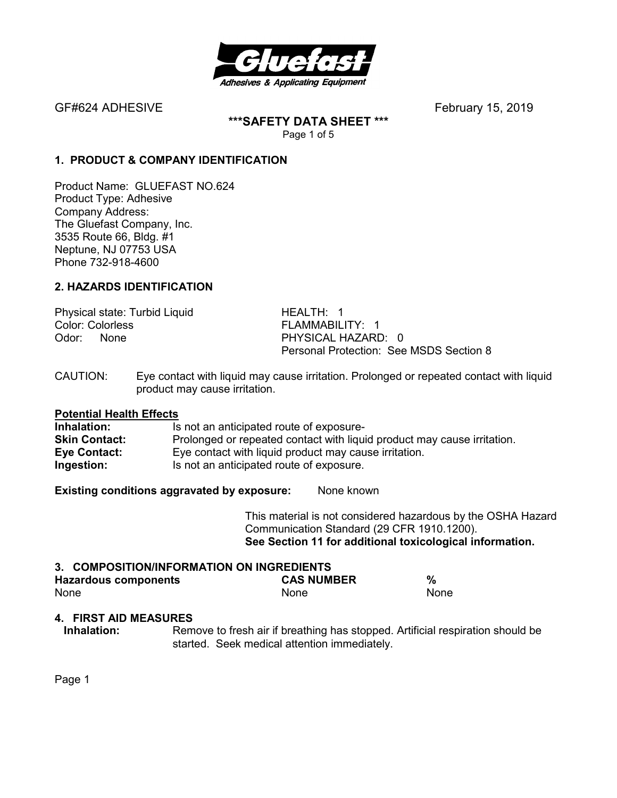

**\*\*\*SAFETY DATA SHEET \*\*\***  Page 1 of 5

## **1. PRODUCT & COMPANY IDENTIFICATION**

Product Name: GLUEFAST NO.624 Product Type: Adhesive Company Address: The Gluefast Company, Inc. 3535 Route 66, Bldg. #1 Neptune, NJ 07753 USA Phone 732-918-4600

## **2. HAZARDS IDENTIFICATION**

Physical state: Turbid Liquid HEALTH: 1 Color: Colorless FLAMMABILITY: 1 Odor: None **PHYSICAL HAZARD: 0** 

Personal Protection: See MSDS Section 8

CAUTION: Eye contact with liquid may cause irritation. Prolonged or repeated contact with liquid product may cause irritation.

# **Potential Health Effects**

Is not an anticipated route of exposure-**Skin Contact:** Prolonged or repeated contact with liquid product may cause irritation. **Eye Contact:** Eye contact with liquid product may cause irritation. **Ingestion:** Is not an anticipated route of exposure.

**Existing conditions aggravated by exposure:** None known

This material is not considered hazardous by the OSHA Hazard Communication Standard (29 CFR 1910.1200). **See Section 11 for additional toxicological information.** 

#### **3. COMPOSITION/INFORMATION ON INGREDIENTS Hazardous components CAS NUMBER %**  None None None

### **4. FIRST AID MEASURES**

**Inhalation:** Remove to fresh air if breathing has stopped. Artificial respiration should be started. Seek medical attention immediately.

Page 1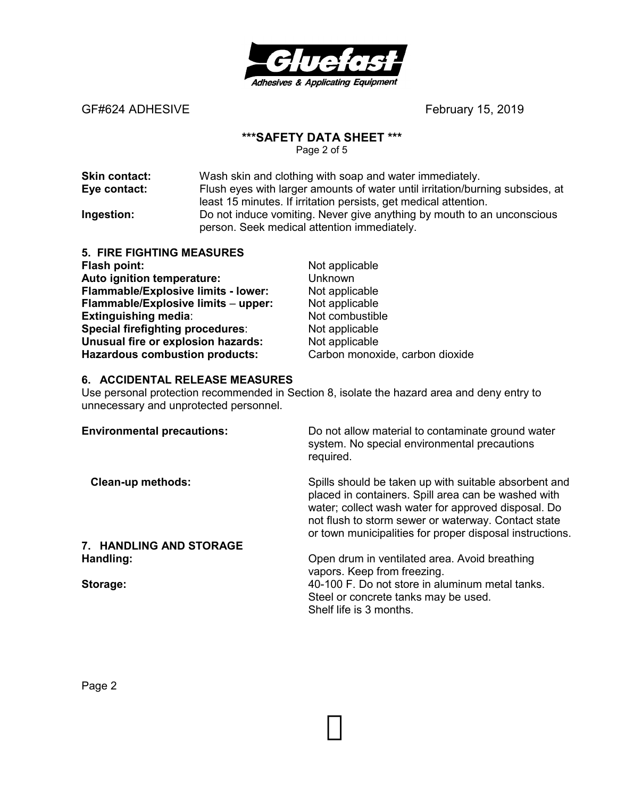

#### **\*\*\*SAFETY DATA SHEET \*\*\***

Page 2 of 5

| <b>Skin contact:</b> | Wash skin and clothing with soap and water immediately.                                                               |
|----------------------|-----------------------------------------------------------------------------------------------------------------------|
| Eye contact:         | Flush eyes with larger amounts of water until irritation/burning subsides, at                                         |
|                      | least 15 minutes. If irritation persists, get medical attention.                                                      |
| Ingestion:           | Do not induce vomiting. Never give anything by mouth to an unconscious<br>person. Seek medical attention immediately. |

| <b>5. FIRE FIGHTING MEASURES</b>        |                                 |
|-----------------------------------------|---------------------------------|
| Flash point:                            | Not applicable                  |
| Auto ignition temperature:              | Unknown                         |
| Flammable/Explosive limits - lower:     | Not applicable                  |
| Flammable/Explosive limits - upper:     | Not applicable                  |
| <b>Extinguishing media:</b>             | Not combustible                 |
| <b>Special firefighting procedures:</b> | Not applicable                  |
| Unusual fire or explosion hazards:      | Not applicable                  |
| <b>Hazardous combustion products:</b>   | Carbon monoxide, carbon dioxide |

## **6. ACCIDENTAL RELEASE MEASURES**

Use personal protection recommended in Section 8, isolate the hazard area and deny entry to unnecessary and unprotected personnel.

| <b>Environmental precautions:</b> | Do not allow material to contaminate ground water<br>system. No special environmental precautions<br>required.                                                                                                                                                                         |
|-----------------------------------|----------------------------------------------------------------------------------------------------------------------------------------------------------------------------------------------------------------------------------------------------------------------------------------|
| <b>Clean-up methods:</b>          | Spills should be taken up with suitable absorbent and<br>placed in containers. Spill area can be washed with<br>water; collect wash water for approved disposal. Do<br>not flush to storm sewer or waterway. Contact state<br>or town municipalities for proper disposal instructions. |
| 7. HANDLING AND STORAGE           |                                                                                                                                                                                                                                                                                        |
| Handling:                         | Open drum in ventilated area. Avoid breathing<br>vapors. Keep from freezing.                                                                                                                                                                                                           |
| Storage:                          | 40-100 F. Do not store in aluminum metal tanks.<br>Steel or concrete tanks may be used.<br>Shelf life is 3 months.                                                                                                                                                                     |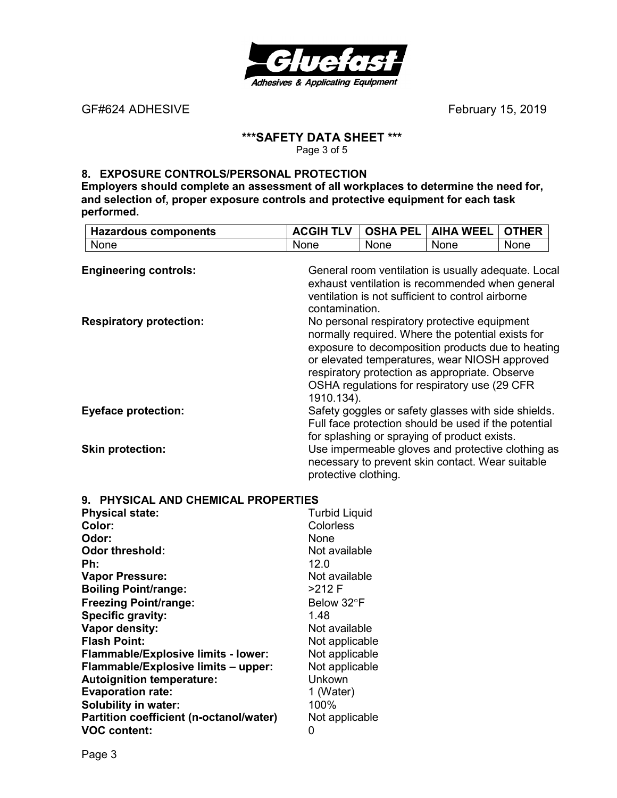

## **\*\*\*SAFETY DATA SHEET \*\*\***

Page 3 of 5

### **8. EXPOSURE CONTROLS/PERSONAL PROTECTION**

**Employers should complete an assessment of all workplaces to determine the need for, and selection of, proper exposure controls and protective equipment for each task performed.** 

| <b>Hazardous components</b>    | <b>ACGIH TLV</b>     | <b>OSHA PEL</b> | <b>AIHA WEEL</b>                                                                                                                                                                                                                                                                                          | <b>OTHER</b> |  |
|--------------------------------|----------------------|-----------------|-----------------------------------------------------------------------------------------------------------------------------------------------------------------------------------------------------------------------------------------------------------------------------------------------------------|--------------|--|
| None                           | None                 | <b>None</b>     | None                                                                                                                                                                                                                                                                                                      | None         |  |
| <b>Engineering controls:</b>   | contamination.       |                 | General room ventilation is usually adequate. Local<br>exhaust ventilation is recommended when general<br>ventilation is not sufficient to control airborne                                                                                                                                               |              |  |
| <b>Respiratory protection:</b> | 1910.134).           |                 | No personal respiratory protective equipment<br>normally required. Where the potential exists for<br>exposure to decomposition products due to heating<br>or elevated temperatures, wear NIOSH approved<br>respiratory protection as appropriate. Observe<br>OSHA regulations for respiratory use (29 CFR |              |  |
| <b>Eyeface protection:</b>     |                      |                 | Safety goggles or safety glasses with side shields.<br>Full face protection should be used if the potential<br>for splashing or spraying of product exists.                                                                                                                                               |              |  |
| <b>Skin protection:</b>        | protective clothing. |                 | Use impermeable gloves and protective clothing as<br>necessary to prevent skin contact. Wear suitable                                                                                                                                                                                                     |              |  |

|  |  |  |  | 9. PHYSICAL AND CHEMICAL PROPERTIES |
|--|--|--|--|-------------------------------------|
|--|--|--|--|-------------------------------------|

| <b>Physical state:</b>                     | <b>Turbid Liquid</b> |
|--------------------------------------------|----------------------|
| Color:                                     | Colorless            |
| Odor:                                      | <b>None</b>          |
| Odor threshold:                            | Not available        |
| Ph:                                        | 12.0                 |
| <b>Vapor Pressure:</b>                     | Not available        |
| <b>Boiling Point/range:</b>                | >212 F               |
| <b>Freezing Point/range:</b>               | Below 32°F           |
| Specific gravity:                          | 1.48                 |
| Vapor density:                             | Not available        |
| <b>Flash Point:</b>                        | Not applicable       |
| <b>Flammable/Explosive limits - lower:</b> | Not applicable       |
| Flammable/Explosive limits - upper:        | Not applicable       |
| <b>Autoignition temperature:</b>           | Unkown               |
| <b>Evaporation rate:</b>                   | 1 (Water)            |
| <b>Solubility in water:</b>                | 100%                 |
| Partition coefficient (n-octanol/water)    | Not applicable       |
| <b>VOC content:</b>                        | 0                    |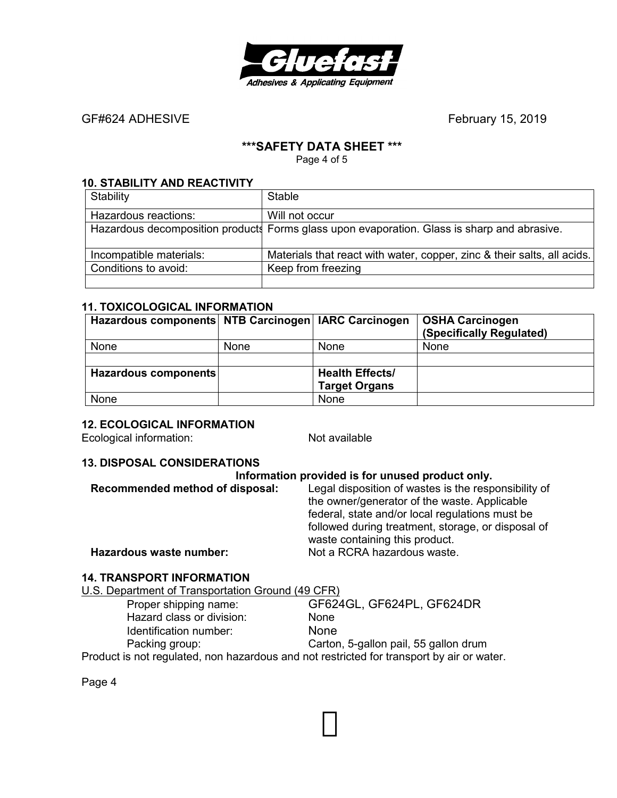

## **\*\*\*SAFETY DATA SHEET \*\*\***

Page 4 of 5

#### **10. STABILITY AND REACTIVITY**

| Stability               | Stable                                                                                      |
|-------------------------|---------------------------------------------------------------------------------------------|
| Hazardous reactions:    | Will not occur                                                                              |
|                         | Hazardous decomposition products Forms glass upon evaporation. Glass is sharp and abrasive. |
| Incompatible materials: | Materials that react with water, copper, zinc & their salts, all acids.                     |
| Conditions to avoid:    | Keep from freezing                                                                          |
|                         |                                                                                             |

#### **11. TOXICOLOGICAL INFORMATION**

| Hazardous components NTB Carcinogen   IARC Carcinogen |      |                        | <b>OSHA Carcinogen</b><br>(Specifically Regulated) |
|-------------------------------------------------------|------|------------------------|----------------------------------------------------|
| None                                                  | None | <b>None</b>            | <b>None</b>                                        |
|                                                       |      |                        |                                                    |
| Hazardous components                                  |      | <b>Health Effects/</b> |                                                    |
|                                                       |      | <b>Target Organs</b>   |                                                    |
| None                                                  |      | None                   |                                                    |

#### **12. ECOLOGICAL INFORMATION**

Ecological information: Not available

### **13. DISPOSAL CONSIDERATIONS**

|                                 | Information provided is for unused product only.                                                                                                        |
|---------------------------------|---------------------------------------------------------------------------------------------------------------------------------------------------------|
| Recommended method of disposal: | Legal disposition of wastes is the responsibility of<br>the owner/generator of the waste. Applicable<br>federal, state and/or local regulations must be |
| Hazardous waste number:         | followed during treatment, storage, or disposal of<br>waste containing this product.<br>Not a RCRA hazardous waste.                                     |

## **14. TRANSPORT INFORMATION**

U.S. Department of Transportation Ground (49 CFR) Proper shipping name: GF624GL, GF624PL, GF624DR Hazard class or division: None Identification number: None<br>
Packing group: Carton Carton, 5-gallon pail, 55 gallon drum

Product is not regulated, non hazardous and not restricted for transport by air or water.

Page 4